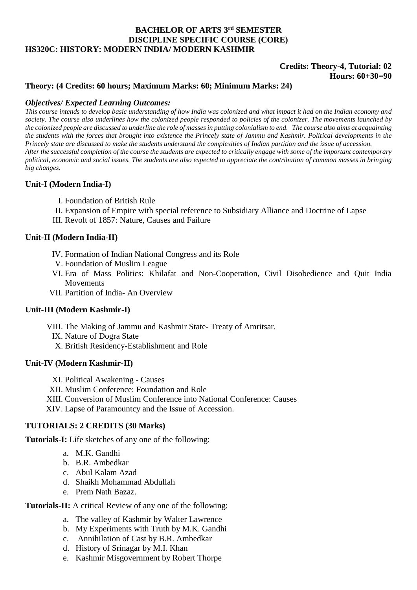# **BACHELOR OF ARTS 3rd SEMESTER DISCIPLINE SPECIFIC COURSE (CORE) HS320C: HISTORY: MODERN INDIA/ MODERN KASHMIR**

### **Credits: Theory-4, Tutorial: 02 Hours: 60+30=90**

### **Theory: (4 Credits: 60 hours; Maximum Marks: 60; Minimum Marks: 24)**

### *Objectives/ Expected Learning Outcomes:*

*This course intends to develop basic understanding of how India was colonized and what impact it had on the Indian economy and society. The course also underlines how the colonized people responded to policies of the colonizer. The movements launched by the colonized people are discussed to underline the role of masses in putting colonialism to end. The course also aims at acquainting the students with the forces that brought into existence the Princely state of Jammu and Kashmir. Political developments in the Princely state are discussed to make the students understand the complexities of Indian partition and the issue of accession. After the successful completion of the course the students are expected to critically engage with some of the important contemporary political, economic and social issues. The students are also expected to appreciate the contribution of common masses in bringing big changes.*

## **Unit-I (Modern India-I)**

- I. Foundation of British Rule
- II. Expansion of Empire with special reference to Subsidiary Alliance and Doctrine of Lapse
- III. Revolt of 1857: Nature, Causes and Failure

### **Unit-II (Modern India-II)**

- IV. Formation of Indian National Congress and its Role
- V. Foundation of Muslim League
- VI. Era of Mass Politics: Khilafat and Non-Cooperation, Civil Disobedience and Quit India Movements
- VII. Partition of India- An Overview

# **Unit-III (Modern Kashmir-I)**

VIII. The Making of Jammu and Kashmir State- Treaty of Amritsar.

- IX. Nature of Dogra State
- X. British Residency-Establishment and Role

### **Unit-IV (Modern Kashmir-II)**

- XI. Political Awakening Causes
- XII. Muslim Conference: Foundation and Role
- XIII. Conversion of Muslim Conference into National Conference: Causes
- XIV. Lapse of Paramountcy and the Issue of Accession.

# **TUTORIALS: 2 CREDITS (30 Marks)**

**Tutorials-I:** Life sketches of any one of the following:

- a. M.K. Gandhi
- b. B.R. Ambedkar
- c. Abul Kalam Azad
- d. Shaikh Mohammad Abdullah
- e. Prem Nath Bazaz.

### **Tutorials-II:** A critical Review of any one of the following:

- a. The valley of Kashmir by Walter Lawrence
- b. My Experiments with Truth by M.K. Gandhi
- c. Annihilation of Cast by B.R. Ambedkar
- d. History of Srinagar by M.I. Khan
- e. Kashmir Misgovernment by Robert Thorpe